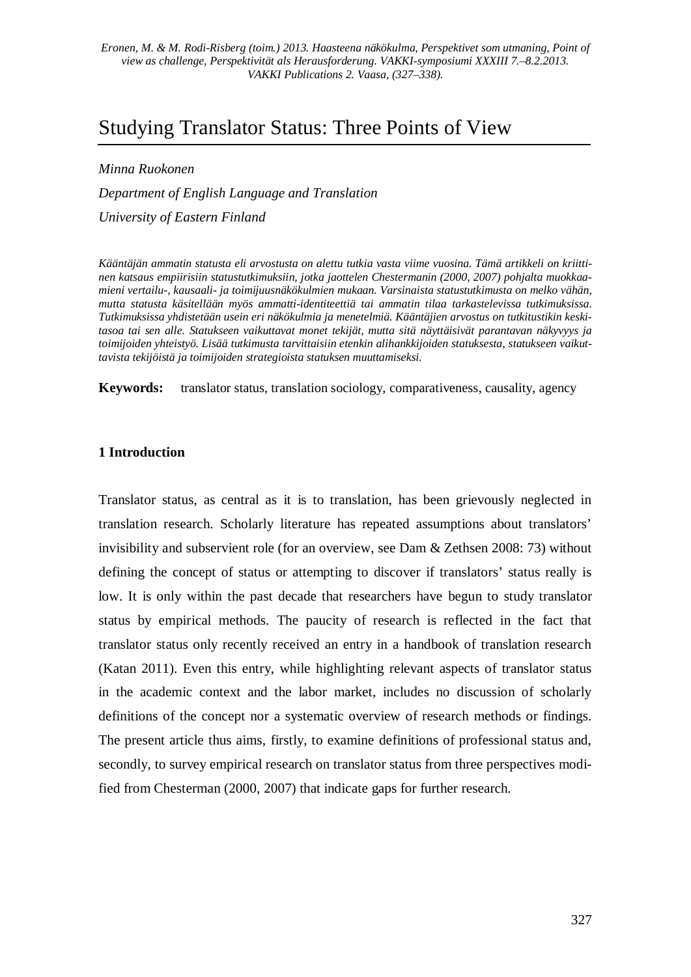# Studying Translator Status: Three Points of View

# *Minna Ruokonen*

*Department of English Language and Translation University of Eastern Finland* 

*Kääntäjän ammatin statusta eli arvostusta on alettu tutkia vasta viime vuosina. Tämä artikkeli on kriittinen katsaus empiirisiin statustutkimuksiin, jotka jaottelen Chestermanin (2000, 2007) pohjalta muokkaamieni vertailu-, kausaali- ja toimijuusnäkökulmien mukaan. Varsinaista statustutkimusta on melko vähän, mutta statusta käsitellään myös ammatti-identiteettiä tai ammatin tilaa tarkastelevissa tutkimuksissa. Tutkimuksissa yhdistetään usein eri näkökulmia ja menetelmiä. Kääntäjien arvostus on tutkitustikin keskitasoa tai sen alle. Statukseen vaikuttavat monet tekijät, mutta sitä näyttäisivät parantavan näkyvyys ja toimijoiden yhteistyö. Lisää tutkimusta tarvittaisiin etenkin alihankkijoiden statuksesta, statukseen vaikuttavista tekijöistä ja toimijoiden strategioista statuksen muuttamiseksi.* 

**Keywords:** translator status, translation sociology, comparativeness, causality, agency

# **1 Introduction**

Translator status, as central as it is to translation, has been grievously neglected in translation research. Scholarly literature has repeated assumptions about translators' invisibility and subservient role (for an overview, see Dam & Zethsen 2008: 73) without defining the concept of status or attempting to discover if translators' status really is low. It is only within the past decade that researchers have begun to study translator status by empirical methods. The paucity of research is reflected in the fact that translator status only recently received an entry in a handbook of translation research (Katan 2011). Even this entry, while highlighting relevant aspects of translator status in the academic context and the labor market, includes no discussion of scholarly definitions of the concept nor a systematic overview of research methods or findings. The present article thus aims, firstly, to examine definitions of professional status and, secondly, to survey empirical research on translator status from three perspectives modified from Chesterman (2000, 2007) that indicate gaps for further research.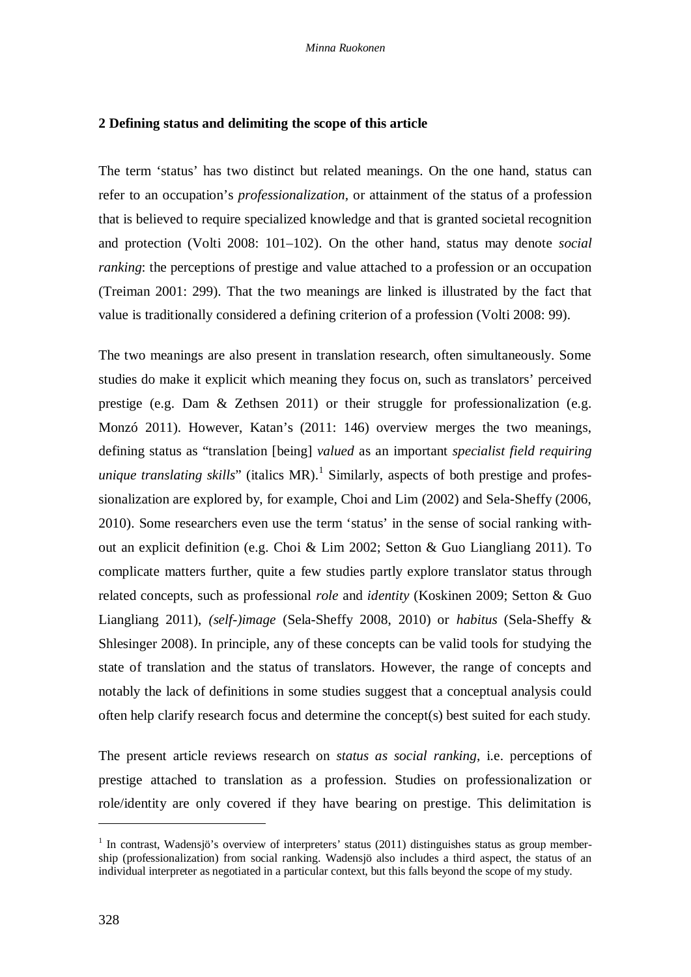# **2 Defining status and delimiting the scope of this article**

The term 'status' has two distinct but related meanings. On the one hand, status can refer to an occupation's *professionalization,* or attainment of the status of a profession that is believed to require specialized knowledge and that is granted societal recognition and protection (Volti 2008: 101–102). On the other hand, status may denote *social ranking*: the perceptions of prestige and value attached to a profession or an occupation (Treiman 2001: 299). That the two meanings are linked is illustrated by the fact that value is traditionally considered a defining criterion of a profession (Volti 2008: 99).

The two meanings are also present in translation research, often simultaneously. Some studies do make it explicit which meaning they focus on, such as translators' perceived prestige (e.g. Dam  $&$  Zethsen 2011) or their struggle for professionalization (e.g. Monzó 2011). However, Katan's (2011: 146) overview merges the two meanings, defining status as "translation [being] *valued* as an important *specialist field requiring unique translating skills*" (italics MR).<sup>1</sup> Similarly, aspects of both prestige and professionalization are explored by, for example, Choi and Lim (2002) and Sela-Sheffy (2006, 2010). Some researchers even use the term 'status' in the sense of social ranking without an explicit definition (e.g. Choi & Lim 2002; Setton & Guo Liangliang 2011). To complicate matters further, quite a few studies partly explore translator status through related concepts, such as professional *role* and *identity* (Koskinen 2009; Setton & Guo Liangliang 2011), *(self-)image* (Sela-Sheffy 2008, 2010) or *habitus* (Sela-Sheffy & Shlesinger 2008). In principle, any of these concepts can be valid tools for studying the state of translation and the status of translators. However, the range of concepts and notably the lack of definitions in some studies suggest that a conceptual analysis could often help clarify research focus and determine the concept(s) best suited for each study.

The present article reviews research on *status as social ranking*, i.e. perceptions of prestige attached to translation as a profession. Studies on professionalization or role/identity are only covered if they have bearing on prestige. This delimitation is

 $\overline{a}$ 

<sup>&</sup>lt;sup>1</sup> In contrast, Wadensjö's overview of interpreters' status (2011) distinguishes status as group membership (professionalization) from social ranking. Wadensjö also includes a third aspect, the status of an individual interpreter as negotiated in a particular context, but this falls beyond the scope of my study.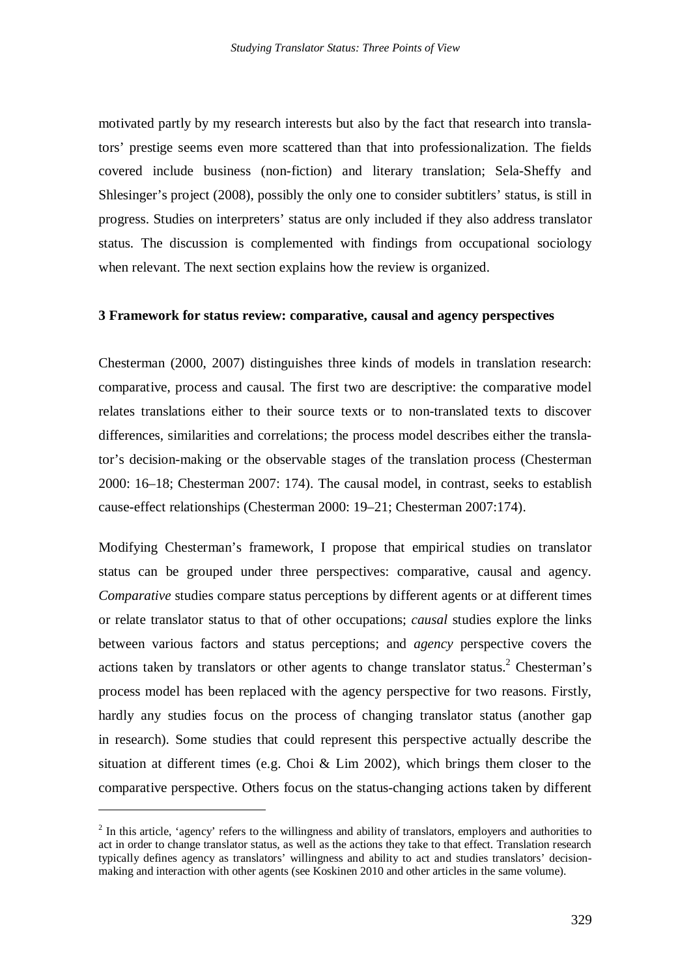motivated partly by my research interests but also by the fact that research into translators' prestige seems even more scattered than that into professionalization. The fields covered include business (non-fiction) and literary translation; Sela-Sheffy and Shlesinger's project (2008), possibly the only one to consider subtitlers' status, is still in progress. Studies on interpreters' status are only included if they also address translator status. The discussion is complemented with findings from occupational sociology when relevant. The next section explains how the review is organized.

# **3 Framework for status review: comparative, causal and agency perspectives**

Chesterman (2000, 2007) distinguishes three kinds of models in translation research: comparative, process and causal. The first two are descriptive: the comparative model relates translations either to their source texts or to non-translated texts to discover differences, similarities and correlations; the process model describes either the translator's decision-making or the observable stages of the translation process (Chesterman 2000: 16–18; Chesterman 2007: 174). The causal model, in contrast, seeks to establish cause-effect relationships (Chesterman 2000: 19–21; Chesterman 2007:174).

Modifying Chesterman's framework, I propose that empirical studies on translator status can be grouped under three perspectives: comparative, causal and agency. *Comparative* studies compare status perceptions by different agents or at different times or relate translator status to that of other occupations; *causal* studies explore the links between various factors and status perceptions; and *agency* perspective covers the actions taken by translators or other agents to change translator status.<sup>2</sup> Chesterman's process model has been replaced with the agency perspective for two reasons. Firstly, hardly any studies focus on the process of changing translator status (another gap in research). Some studies that could represent this perspective actually describe the situation at different times (e.g. Choi & Lim 2002), which brings them closer to the comparative perspective. Others focus on the status-changing actions taken by different

 $\overline{a}$ 

 $2$  In this article, 'agency' refers to the willingness and ability of translators, employers and authorities to act in order to change translator status, as well as the actions they take to that effect. Translation research typically defines agency as translators' willingness and ability to act and studies translators' decisionmaking and interaction with other agents (see Koskinen 2010 and other articles in the same volume).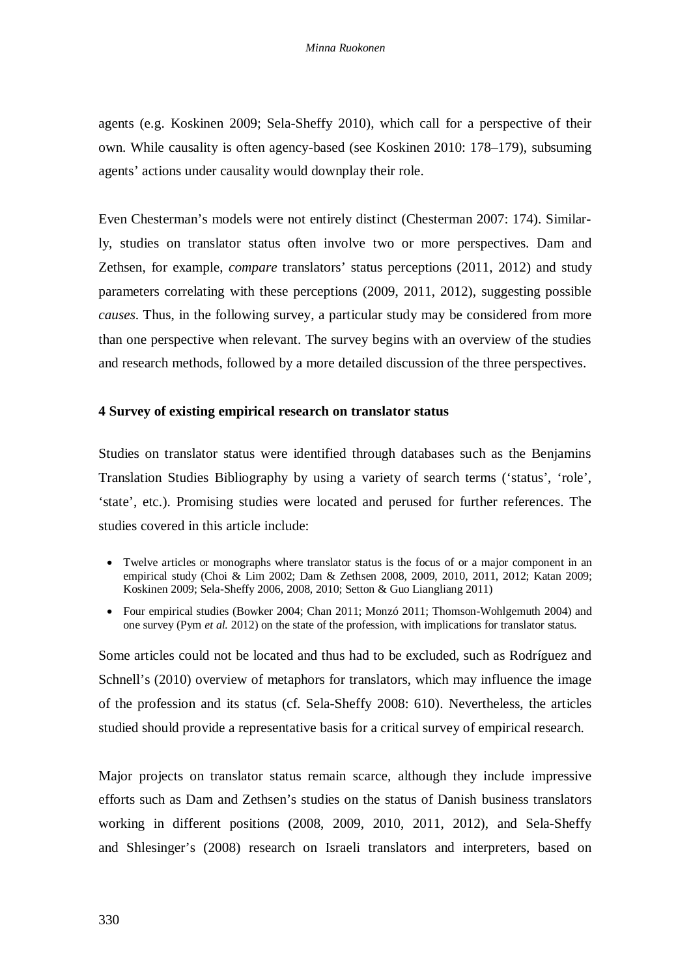agents (e.g. Koskinen 2009; Sela-Sheffy 2010), which call for a perspective of their own. While causality is often agency-based (see Koskinen 2010: 178–179), subsuming agents' actions under causality would downplay their role.

Even Chesterman's models were not entirely distinct (Chesterman 2007: 174). Similarly, studies on translator status often involve two or more perspectives. Dam and Zethsen, for example, *compare* translators' status perceptions (2011, 2012) and study parameters correlating with these perceptions (2009, 2011, 2012), suggesting possible *causes*. Thus, in the following survey, a particular study may be considered from more than one perspective when relevant. The survey begins with an overview of the studies and research methods, followed by a more detailed discussion of the three perspectives.

# **4 Survey of existing empirical research on translator status**

Studies on translator status were identified through databases such as the Benjamins Translation Studies Bibliography by using a variety of search terms ('status', 'role', 'state', etc.). Promising studies were located and perused for further references. The studies covered in this article include:

- Twelve articles or monographs where translator status is the focus of or a major component in an empirical study (Choi & Lim 2002; Dam & Zethsen 2008, 2009, 2010, 2011, 2012; Katan 2009; Koskinen 2009; Sela-Sheffy 2006, 2008, 2010; Setton & Guo Liangliang 2011)
- Four empirical studies (Bowker 2004; Chan 2011; Monzó 2011; Thomson-Wohlgemuth 2004) and one survey (Pym *et al.* 2012) on the state of the profession, with implications for translator status.

Some articles could not be located and thus had to be excluded, such as Rodríguez and Schnell's (2010) overview of metaphors for translators, which may influence the image of the profession and its status (cf. Sela-Sheffy 2008: 610). Nevertheless, the articles studied should provide a representative basis for a critical survey of empirical research.

Major projects on translator status remain scarce, although they include impressive efforts such as Dam and Zethsen's studies on the status of Danish business translators working in different positions (2008, 2009, 2010, 2011, 2012), and Sela-Sheffy and Shlesinger's (2008) research on Israeli translators and interpreters, based on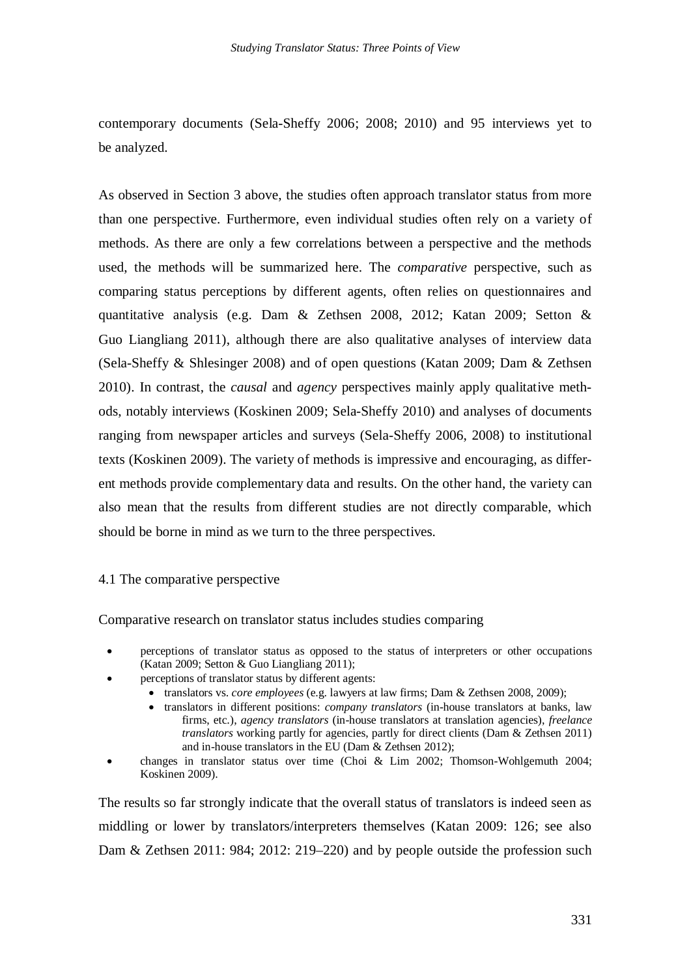contemporary documents (Sela-Sheffy 2006; 2008; 2010) and 95 interviews yet to be analyzed.

As observed in Section 3 above, the studies often approach translator status from more than one perspective. Furthermore, even individual studies often rely on a variety of methods. As there are only a few correlations between a perspective and the methods used, the methods will be summarized here. The *comparative* perspective, such as comparing status perceptions by different agents, often relies on questionnaires and quantitative analysis (e.g. Dam & Zethsen 2008, 2012; Katan 2009; Setton & Guo Liangliang 2011), although there are also qualitative analyses of interview data (Sela-Sheffy & Shlesinger 2008) and of open questions (Katan 2009; Dam & Zethsen 2010). In contrast, the *causal* and *agency* perspectives mainly apply qualitative methods, notably interviews (Koskinen 2009; Sela-Sheffy 2010) and analyses of documents ranging from newspaper articles and surveys (Sela-Sheffy 2006, 2008) to institutional texts (Koskinen 2009). The variety of methods is impressive and encouraging, as different methods provide complementary data and results. On the other hand, the variety can also mean that the results from different studies are not directly comparable, which should be borne in mind as we turn to the three perspectives.

# 4.1 The comparative perspective

Comparative research on translator status includes studies comparing

- x perceptions of translator status as opposed to the status of interpreters or other occupations (Katan 2009; Setton & Guo Liangliang 2011);
	- perceptions of translator status by different agents:
		- x translators vs. *core employees* (e.g. lawyers at law firms; Dam & Zethsen 2008, 2009);
		- translators in different positions: *company translators* (in-house translators at banks, law firms, etc.), *agency translators* (in-house translators at translation agencies), *freelance translators* working partly for agencies, partly for direct clients (Dam & Zethsen 2011) and in-house translators in the EU (Dam & Zethsen 2012);
- x changes in translator status over time (Choi & Lim 2002; Thomson-Wohlgemuth 2004; Koskinen 2009).

The results so far strongly indicate that the overall status of translators is indeed seen as middling or lower by translators/interpreters themselves (Katan 2009: 126; see also Dam & Zethsen 2011: 984; 2012: 219–220) and by people outside the profession such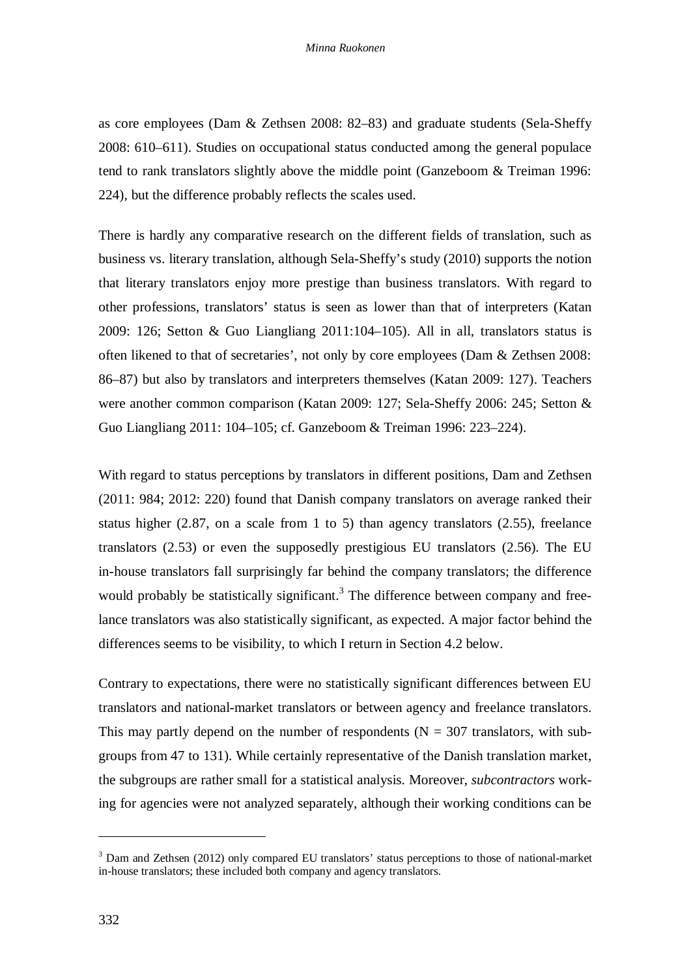as core employees (Dam & Zethsen 2008: 82–83) and graduate students (Sela-Sheffy 2008: 610–611). Studies on occupational status conducted among the general populace tend to rank translators slightly above the middle point (Ganzeboom & Treiman 1996: 224), but the difference probably reflects the scales used.

There is hardly any comparative research on the different fields of translation, such as business vs. literary translation, although Sela-Sheffy's study (2010) supports the notion that literary translators enjoy more prestige than business translators. With regard to other professions, translators' status is seen as lower than that of interpreters (Katan 2009: 126; Setton & Guo Liangliang 2011:104–105). All in all, translators status is often likened to that of secretaries', not only by core employees (Dam & Zethsen 2008: 86–87) but also by translators and interpreters themselves (Katan 2009: 127). Teachers were another common comparison (Katan 2009: 127; Sela-Sheffy 2006: 245; Setton & Guo Liangliang 2011: 104–105; cf. Ganzeboom & Treiman 1996: 223–224).

With regard to status perceptions by translators in different positions, Dam and Zethsen (2011: 984; 2012: 220) found that Danish company translators on average ranked their status higher (2.87, on a scale from 1 to 5) than agency translators (2.55), freelance translators (2.53) or even the supposedly prestigious EU translators (2.56). The EU in-house translators fall surprisingly far behind the company translators; the difference would probably be statistically significant.<sup>3</sup> The difference between company and freelance translators was also statistically significant, as expected. A major factor behind the differences seems to be visibility, to which I return in Section 4.2 below.

Contrary to expectations, there were no statistically significant differences between EU translators and national-market translators or between agency and freelance translators. This may partly depend on the number of respondents  $(N = 307$  translators, with subgroups from 47 to 131). While certainly representative of the Danish translation market, the subgroups are rather small for a statistical analysis. Moreover, *subcontractors* working for agencies were not analyzed separately, although their working conditions can be

 $\overline{a}$ 

<sup>&</sup>lt;sup>3</sup> Dam and Zethsen (2012) only compared EU translators' status perceptions to those of national-market in-house translators; these included both company and agency translators.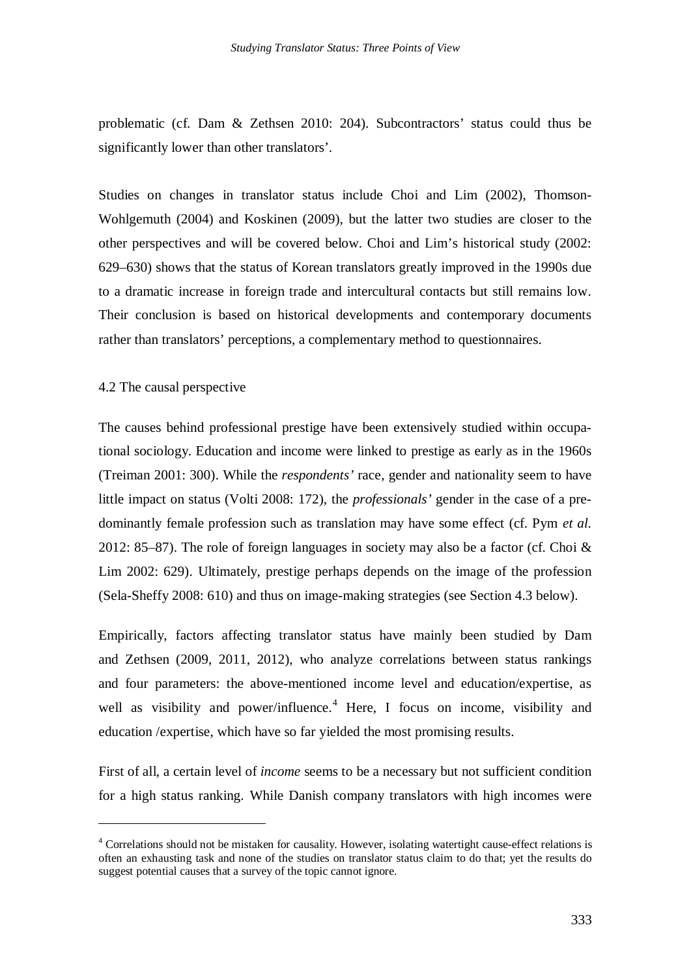problematic (cf. Dam & Zethsen 2010: 204). Subcontractors' status could thus be significantly lower than other translators'.

Studies on changes in translator status include Choi and Lim (2002), Thomson-Wohlgemuth (2004) and Koskinen (2009), but the latter two studies are closer to the other perspectives and will be covered below. Choi and Lim's historical study (2002: 629–630) shows that the status of Korean translators greatly improved in the 1990s due to a dramatic increase in foreign trade and intercultural contacts but still remains low. Their conclusion is based on historical developments and contemporary documents rather than translators' perceptions, a complementary method to questionnaires.

# 4.2 The causal perspective

 $\overline{a}$ 

The causes behind professional prestige have been extensively studied within occupational sociology. Education and income were linked to prestige as early as in the 1960s (Treiman 2001: 300). While the *respondents'* race, gender and nationality seem to have little impact on status (Volti 2008: 172), the *professionals'* gender in the case of a predominantly female profession such as translation may have some effect (cf. Pym *et al.*  2012: 85–87). The role of foreign languages in society may also be a factor (cf. Choi  $\&$ Lim 2002: 629). Ultimately, prestige perhaps depends on the image of the profession (Sela-Sheffy 2008: 610) and thus on image-making strategies (see Section 4.3 below).

Empirically, factors affecting translator status have mainly been studied by Dam and Zethsen (2009, 2011, 2012), who analyze correlations between status rankings and four parameters: the above-mentioned income level and education/expertise, as well as visibility and power/influence.<sup>4</sup> Here, I focus on income, visibility and education /expertise, which have so far yielded the most promising results.

First of all, a certain level of *income* seems to be a necessary but not sufficient condition for a high status ranking. While Danish company translators with high incomes were

<sup>&</sup>lt;sup>4</sup> Correlations should not be mistaken for causality. However, isolating watertight cause-effect relations is often an exhausting task and none of the studies on translator status claim to do that; yet the results do suggest potential causes that a survey of the topic cannot ignore.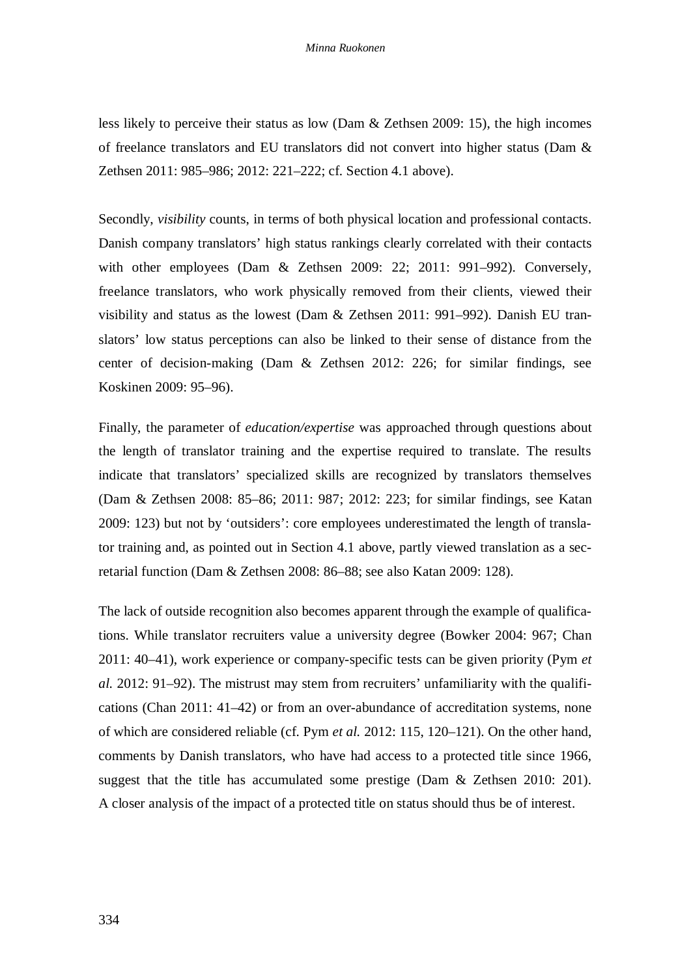less likely to perceive their status as low (Dam & Zethsen 2009: 15), the high incomes of freelance translators and EU translators did not convert into higher status (Dam & Zethsen 2011: 985–986; 2012: 221–222; cf. Section 4.1 above).

Secondly, *visibility* counts, in terms of both physical location and professional contacts. Danish company translators' high status rankings clearly correlated with their contacts with other employees (Dam & Zethsen 2009: 22; 2011: 991–992). Conversely, freelance translators, who work physically removed from their clients, viewed their visibility and status as the lowest (Dam & Zethsen 2011: 991–992). Danish EU translators' low status perceptions can also be linked to their sense of distance from the center of decision-making (Dam & Zethsen 2012: 226; for similar findings, see Koskinen 2009: 95–96).

Finally, the parameter of *education/expertise* was approached through questions about the length of translator training and the expertise required to translate. The results indicate that translators' specialized skills are recognized by translators themselves (Dam & Zethsen 2008: 85–86; 2011: 987; 2012: 223; for similar findings, see Katan 2009: 123) but not by 'outsiders': core employees underestimated the length of translator training and, as pointed out in Section 4.1 above, partly viewed translation as a secretarial function (Dam & Zethsen 2008: 86–88; see also Katan 2009: 128).

The lack of outside recognition also becomes apparent through the example of qualifications. While translator recruiters value a university degree (Bowker 2004: 967; Chan 2011: 40–41), work experience or company-specific tests can be given priority (Pym *et al.* 2012: 91–92). The mistrust may stem from recruiters' unfamiliarity with the qualifications (Chan 2011: 41–42) or from an over-abundance of accreditation systems, none of which are considered reliable (cf. Pym *et al.* 2012: 115, 120–121). On the other hand, comments by Danish translators, who have had access to a protected title since 1966, suggest that the title has accumulated some prestige (Dam & Zethsen 2010: 201). A closer analysis of the impact of a protected title on status should thus be of interest.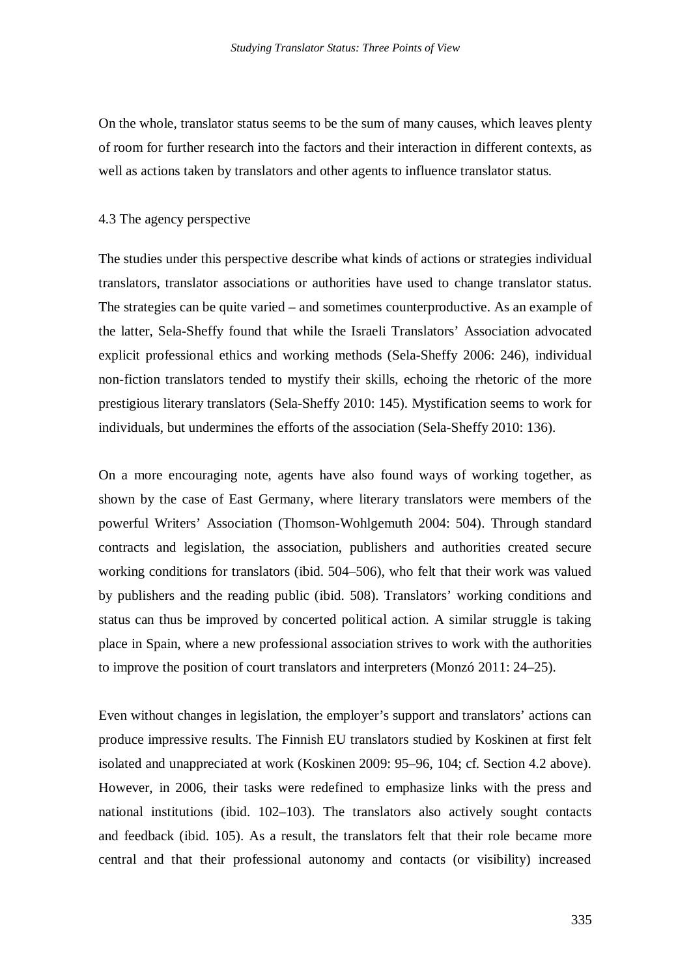On the whole, translator status seems to be the sum of many causes, which leaves plenty of room for further research into the factors and their interaction in different contexts, as well as actions taken by translators and other agents to influence translator status.

# 4.3 The agency perspective

The studies under this perspective describe what kinds of actions or strategies individual translators, translator associations or authorities have used to change translator status. The strategies can be quite varied – and sometimes counterproductive. As an example of the latter, Sela-Sheffy found that while the Israeli Translators' Association advocated explicit professional ethics and working methods (Sela-Sheffy 2006: 246), individual non-fiction translators tended to mystify their skills, echoing the rhetoric of the more prestigious literary translators (Sela-Sheffy 2010: 145). Mystification seems to work for individuals, but undermines the efforts of the association (Sela-Sheffy 2010: 136).

On a more encouraging note, agents have also found ways of working together, as shown by the case of East Germany, where literary translators were members of the powerful Writers' Association (Thomson-Wohlgemuth 2004: 504). Through standard contracts and legislation, the association, publishers and authorities created secure working conditions for translators (ibid. 504–506), who felt that their work was valued by publishers and the reading public (ibid. 508). Translators' working conditions and status can thus be improved by concerted political action. A similar struggle is taking place in Spain, where a new professional association strives to work with the authorities to improve the position of court translators and interpreters (Monzó 2011: 24–25).

Even without changes in legislation, the employer's support and translators' actions can produce impressive results. The Finnish EU translators studied by Koskinen at first felt isolated and unappreciated at work (Koskinen 2009: 95–96, 104; cf. Section 4.2 above). However, in 2006, their tasks were redefined to emphasize links with the press and national institutions (ibid. 102–103). The translators also actively sought contacts and feedback (ibid. 105). As a result, the translators felt that their role became more central and that their professional autonomy and contacts (or visibility) increased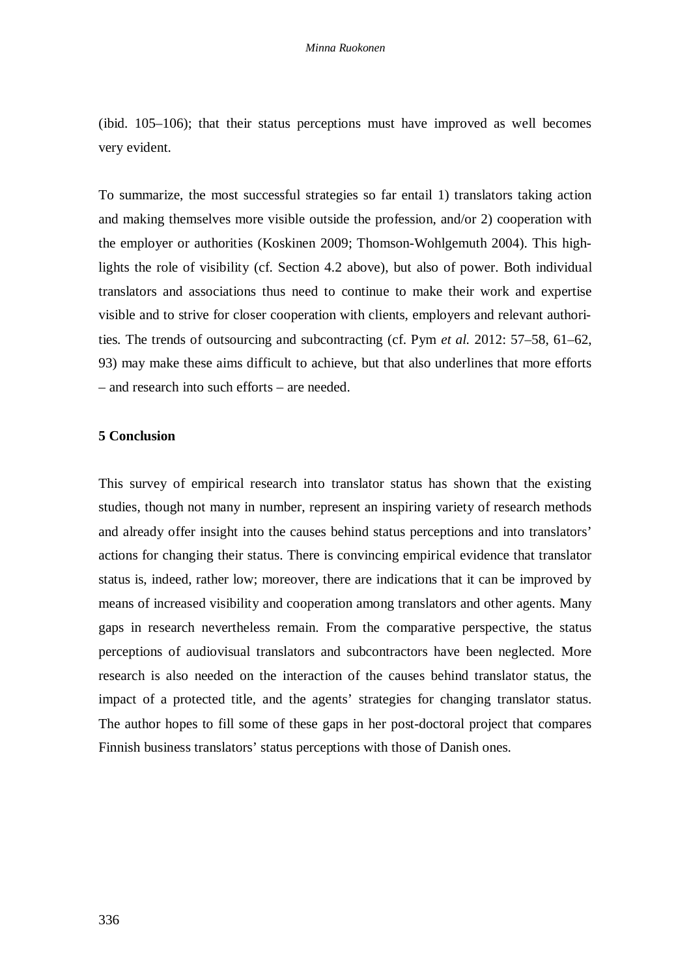(ibid. 105–106); that their status perceptions must have improved as well becomes very evident.

To summarize, the most successful strategies so far entail 1) translators taking action and making themselves more visible outside the profession, and/or 2) cooperation with the employer or authorities (Koskinen 2009; Thomson-Wohlgemuth 2004). This highlights the role of visibility (cf. Section 4.2 above), but also of power. Both individual translators and associations thus need to continue to make their work and expertise visible and to strive for closer cooperation with clients, employers and relevant authorities. The trends of outsourcing and subcontracting (cf. Pym *et al.* 2012: 57–58, 61–62, 93) may make these aims difficult to achieve, but that also underlines that more efforts – and research into such efforts – are needed.

# **5 Conclusion**

This survey of empirical research into translator status has shown that the existing studies, though not many in number, represent an inspiring variety of research methods and already offer insight into the causes behind status perceptions and into translators' actions for changing their status. There is convincing empirical evidence that translator status is, indeed, rather low; moreover, there are indications that it can be improved by means of increased visibility and cooperation among translators and other agents. Many gaps in research nevertheless remain. From the comparative perspective, the status perceptions of audiovisual translators and subcontractors have been neglected. More research is also needed on the interaction of the causes behind translator status, the impact of a protected title, and the agents' strategies for changing translator status. The author hopes to fill some of these gaps in her post-doctoral project that compares Finnish business translators' status perceptions with those of Danish ones.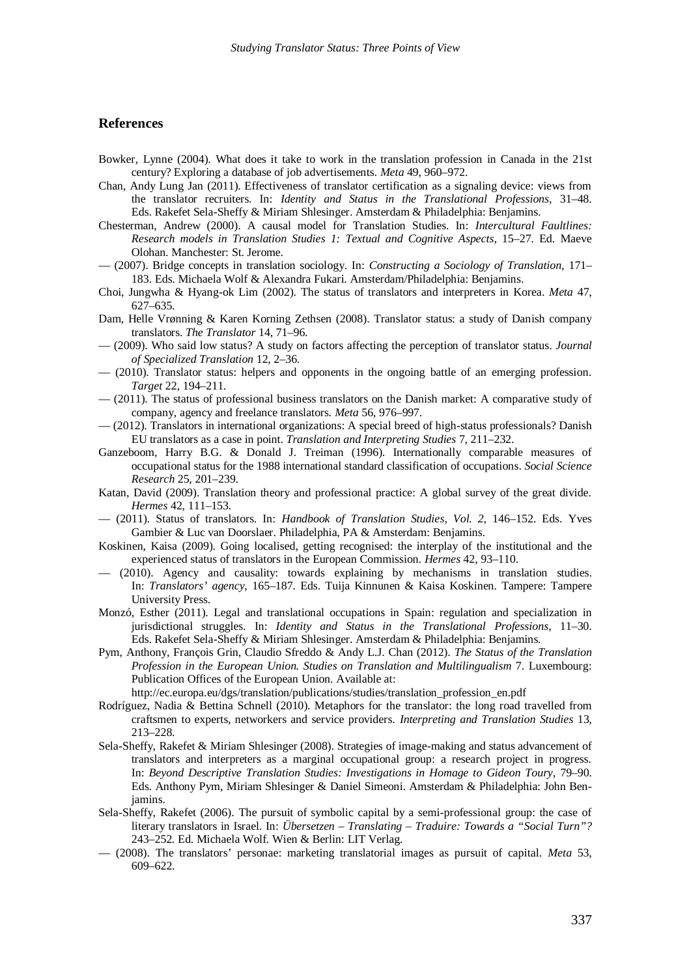#### **References**

- Bowker, Lynne (2004). What does it take to work in the translation profession in Canada in the 21st century? Exploring a database of job advertisements. *Meta* 49, 960–972.
- Chan, Andy Lung Jan (2011). Effectiveness of translator certification as a signaling device: views from the translator recruiters. In: *Identity and Status in the Translational Professions,* 31–48. Eds. Rakefet Sela-Sheffy & Miriam Shlesinger. Amsterdam & Philadelphia: Benjamins.
- Chesterman, Andrew (2000). A causal model for Translation Studies. In: *Intercultural Faultlines: Research models in Translation Studies 1: Textual and Cognitive Aspects*, 15–27. Ed. Maeve Olohan. Manchester: St. Jerome.
- (2007). Bridge concepts in translation sociology. In: *Constructing a Sociology of Translation,* 171– 183. Eds. Michaela Wolf & Alexandra Fukari. Amsterdam/Philadelphia: Benjamins.
- Choi, Jungwha & Hyang-ok Lim (2002). The status of translators and interpreters in Korea. *Meta* 47, 627–635.
- Dam, Helle Vrønning & Karen Korning Zethsen (2008). Translator status: a study of Danish company translators. *The Translator* 14, 71–96.
- (2009). Who said low status? A study on factors affecting the perception of translator status. *Journal of Specialized Translation* 12, 2–36.
- (2010). Translator status: helpers and opponents in the ongoing battle of an emerging profession. *Target* 22, 194–211.
- (2011). The status of professional business translators on the Danish market: A comparative study of company, agency and freelance translators. *Meta* 56, 976–997.
- (2012). Translators in international organizations: A special breed of high-status professionals? Danish EU translators as a case in point. *Translation and Interpreting Studies* 7, 211–232.
- Ganzeboom, Harry B.G. & Donald J. Treiman (1996). Internationally comparable measures of occupational status for the 1988 international standard classification of occupations. *Social Science Research* 25, 201–239.
- Katan, David (2009). Translation theory and professional practice: A global survey of the great divide. *Hermes* 42, 111–153*.*
- (2011). Status of translators. In: *Handbook of Translation Studies, Vol. 2*, 146–152. Eds. Yves Gambier & Luc van Doorslaer. Philadelphia, PA & Amsterdam: Benjamins.
- Koskinen, Kaisa (2009). Going localised, getting recognised: the interplay of the institutional and the experienced status of translators in the European Commission. *Hermes* 42, 93–110.
- (2010). Agency and causality: towards explaining by mechanisms in translation studies. In: *Translators' agency*, 165–187. Eds. Tuija Kinnunen & Kaisa Koskinen. Tampere: Tampere University Press.
- Monzó, Esther (2011). Legal and translational occupations in Spain: regulation and specialization in jurisdictional struggles. In: *Identity and Status in the Translational Professions,* 11–30. Eds. Rakefet Sela-Sheffy & Miriam Shlesinger. Amsterdam & Philadelphia: Benjamins.
- Pym, Anthony, François Grin, Claudio Sfreddo & Andy L.J. Chan (2012). *The Status of the Translation Profession in the European Union. Studies on Translation and Multilingualism* 7. Luxembourg: Publication Offices of the European Union. Available at:
	- http://ec.europa.eu/dgs/translation/publications/studies/translation\_profession\_en.pdf
- Rodríguez, Nadia & Bettina Schnell (2010). Metaphors for the translator: the long road travelled from craftsmen to experts, networkers and service providers. *Interpreting and Translation Studies* 13, 213–228.
- Sela-Sheffy, Rakefet & Miriam Shlesinger (2008). Strategies of image-making and status advancement of translators and interpreters as a marginal occupational group: a research project in progress. In: *Beyond Descriptive Translation Studies: Investigations in Homage to Gideon Toury*, 79–90. Eds. Anthony Pym, Miriam Shlesinger & Daniel Simeoni. Amsterdam & Philadelphia: John Benjamins.
- Sela-Sheffy, Rakefet (2006). The pursuit of symbolic capital by a semi-professional group: the case of literary translators in Israel. In: *Übersetzen – Translating – Traduire: Towards a "Social Turn"?* 243–252*.* Ed. Michaela Wolf. Wien & Berlin: LIT Verlag.
- (2008). The translators' personae: marketing translatorial images as pursuit of capital. *Meta* 53, 609–622.